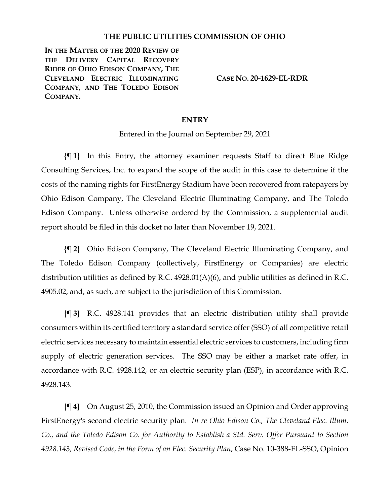## **THE PUBLIC UTILITIES COMMISSION OF OHIO**

**IN THE MATTER OF THE 2020 REVIEW OF THE DELIVERY CAPITAL RECOVERY RIDER OF OHIO EDISON COMPANY, THE CLEVELAND ELECTRIC ILLUMINATING COMPANY, AND THE TOLEDO EDISON COMPANY.**

**CASE NO. 20-1629-EL-RDR**

## **ENTRY**

Entered in the Journal on September 29, 2021

**{¶ 1}** In this Entry, the attorney examiner requests Staff to direct Blue Ridge Consulting Services, Inc. to expand the scope of the audit in this case to determine if the costs of the naming rights for FirstEnergy Stadium have been recovered from ratepayers by Ohio Edison Company, The Cleveland Electric Illuminating Company, and The Toledo Edison Company. Unless otherwise ordered by the Commission, a supplemental audit report should be filed in this docket no later than November 19, 2021.

**{¶ 2}** Ohio Edison Company, The Cleveland Electric Illuminating Company, and The Toledo Edison Company (collectively, FirstEnergy or Companies) are electric distribution utilities as defined by R.C. 4928.01(A)(6), and public utilities as defined in R.C. 4905.02, and, as such, are subject to the jurisdiction of this Commission.

**{¶ 3}** R.C. 4928.141 provides that an electric distribution utility shall provide consumers within its certified territory a standard service offer (SSO) of all competitive retail electric services necessary to maintain essential electric services to customers, including firm supply of electric generation services. The SSO may be either a market rate offer, in accordance with R.C. 4928.142, or an electric security plan (ESP), in accordance with R.C. 4928.143.

**{¶ 4}** On August 25, 2010, the Commission issued an Opinion and Order approving FirstEnergy's second electric security plan. *In re Ohio Edison Co., The Cleveland Elec. Illum. Co., and the Toledo Edison Co. for Authority to Establish a Std. Serv. Offer Pursuant to Section 4928.143, Revised Code, in the Form of an Elec. Security Plan*, Case No. 10-388-EL-SSO, Opinion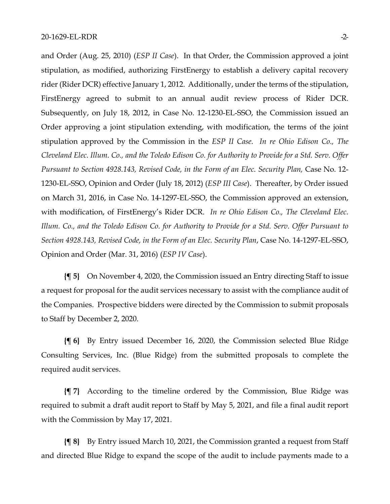and Order (Aug. 25, 2010) (*ESP II Case*). In that Order, the Commission approved a joint stipulation, as modified, authorizing FirstEnergy to establish a delivery capital recovery rider (Rider DCR) effective January 1, 2012. Additionally, under the terms of the stipulation, FirstEnergy agreed to submit to an annual audit review process of Rider DCR. Subsequently, on July 18, 2012, in Case No. 12-1230-EL-SSO, the Commission issued an Order approving a joint stipulation extending, with modification, the terms of the joint stipulation approved by the Commission in the *ESP II Case*. *In re Ohio Edison Co., The Cleveland Elec. Illum. Co., and the Toledo Edison Co. for Authority to Provide for a Std. Serv. Offer Pursuant to Section 4928.143, Revised Code, in the Form of an Elec. Security Plan,* Case No. 12- 1230-EL-SSO, Opinion and Order (July 18, 2012) (*ESP III Case*). Thereafter, by Order issued on March 31, 2016, in Case No. 14-1297-EL-SSO, the Commission approved an extension, with modification, of FirstEnergy's Rider DCR. *In re Ohio Edison Co., The Cleveland Elec. Illum. Co., and the Toledo Edison Co. for Authority to Provide for a Std. Serv. Offer Pursuant to Section 4928.143, Revised Code, in the Form of an Elec. Security Plan*, Case No. 14-1297-EL-SSO, Opinion and Order (Mar. 31, 2016) (*ESP IV Case*).

**{¶ 5}** On November 4, 2020, the Commission issued an Entry directing Staff to issue a request for proposal for the audit services necessary to assist with the compliance audit of the Companies. Prospective bidders were directed by the Commission to submit proposals to Staff by December 2, 2020.

**{¶ 6}** By Entry issued December 16, 2020, the Commission selected Blue Ridge Consulting Services, Inc. (Blue Ridge) from the submitted proposals to complete the required audit services.

**{¶ 7}** According to the timeline ordered by the Commission, Blue Ridge was required to submit a draft audit report to Staff by May 5, 2021, and file a final audit report with the Commission by May 17, 2021.

**{¶ 8}** By Entry issued March 10, 2021, the Commission granted a request from Staff and directed Blue Ridge to expand the scope of the audit to include payments made to a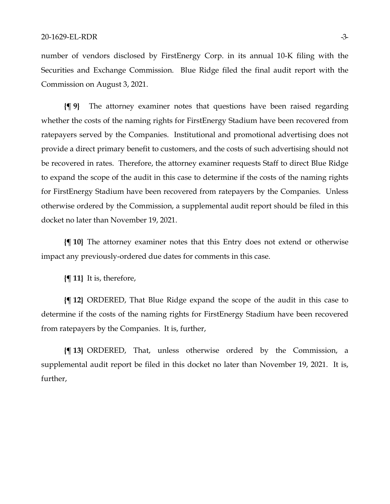number of vendors disclosed by FirstEnergy Corp. in its annual 10-K filing with the Securities and Exchange Commission. Blue Ridge filed the final audit report with the Commission on August 3, 2021.

**{¶ 9}** The attorney examiner notes that questions have been raised regarding whether the costs of the naming rights for FirstEnergy Stadium have been recovered from ratepayers served by the Companies. Institutional and promotional advertising does not provide a direct primary benefit to customers, and the costs of such advertising should not be recovered in rates. Therefore, the attorney examiner requests Staff to direct Blue Ridge to expand the scope of the audit in this case to determine if the costs of the naming rights for FirstEnergy Stadium have been recovered from ratepayers by the Companies. Unless otherwise ordered by the Commission, a supplemental audit report should be filed in this docket no later than November 19, 2021.

**{¶ 10}** The attorney examiner notes that this Entry does not extend or otherwise impact any previously-ordered due dates for comments in this case.

**{¶ 11}** It is, therefore,

**{¶ 12}** ORDERED, That Blue Ridge expand the scope of the audit in this case to determine if the costs of the naming rights for FirstEnergy Stadium have been recovered from ratepayers by the Companies. It is, further,

**{¶ 13}** ORDERED, That, unless otherwise ordered by the Commission, a supplemental audit report be filed in this docket no later than November 19, 2021. It is, further,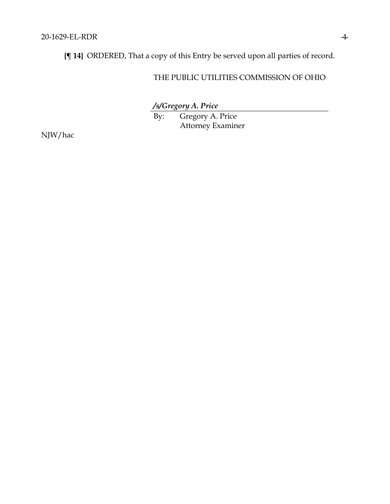**{¶ 14}** ORDERED, That a copy of this Entry be served upon all parties of record.

## THE PUBLIC UTILITIES COMMISSION OF OHIO

*/s/Gregory A. Price*

By: Gregory A. Price Attorney Examiner

NJW/hac